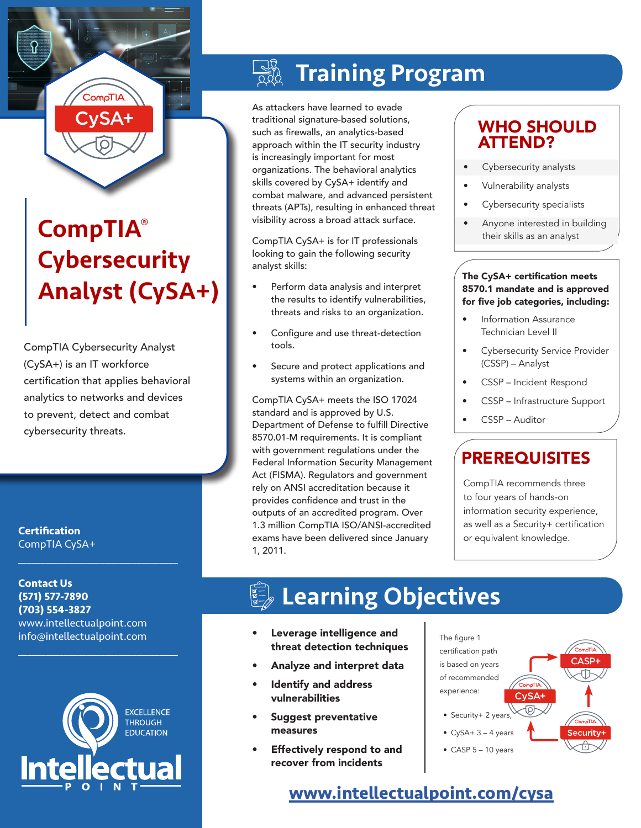

# CompTIA® **Cybersecurity** Analyst (CySA+)

CompTIA Cybersecurity Analyst (CySA+) is an IT workforce certification that applies behavioral analytics to networks and devices to prevent, detect and combat cybersecurity threats.

**Certification** CompTIA CySA+

**Contact Us (571) 577-7890 (703) 554-3827** www.intellectualpoint.com info@intellectualpoint.com

 $\mathcal{L}_\text{max}$  and  $\mathcal{L}_\text{max}$  and  $\mathcal{L}_\text{max}$  and  $\mathcal{L}_\text{max}$ 

 $\mathcal{L}_\text{max}$  and  $\mathcal{L}_\text{max}$  and  $\mathcal{L}_\text{max}$  and  $\mathcal{L}_\text{max}$ 



## Training Program

As attackers have learned to evade traditional signature-based solutions, such as firewalls, an analytics-based approach within the IT security industry is increasingly important for most organizations. The behavioral analytics skills covered by CySA+ identify and combat malware, and advanced persistent threats (APTs), resulting in enhanced threat visibility across a broad attack surface.

CompTIA CySA+ is for IT professionals looking to gain the following security analyst skills:

- Perform data analysis and interpret the results to identify vulnerabilities, threats and risks to an organization.
- Configure and use threat-detection tools.
- Secure and protect applications and systems within an organization.

CompTIA CySA+ meets the ISO 17024 standard and is approved by U.S. Department of Defense to fulfill Directive 8570.01-M requirements. It is compliant with government regulations under the Federal Information Security Management Act (FISMA). Regulators and government rely on ANSI accreditation because it provides confidence and trust in the outputs of an accredited program. Over 1.3 million CompTIA ISO/ANSI-accredited exams have been delivered since January 1, 2011.

## WHO SHOULD ATTEND?

- Cybersecurity analysts
- Vulnerability analysts
- Cybersecurity specialists
- Anyone interested in building their skills as an analyst

#### The CySA+ certification meets 8570.1 mandate and is approved for five job categories, including:

- Information Assurance Technician Level II
- Cybersecurity Service Provider (CSSP) – Analyst
- CSSP Incident Respond
- CSSP Infrastructure Support
- CSSP Auditor

## PREREQUISITES

CompTIA recommends three to four years of hands-on information security experience, as well as a Security+ certification or equivalent knowledge.

# Learning Objectives

- Leverage intelligence and threat detection techniques
- Analyze and interpret data
- Identify and address vulnerabilities
- Suggest preventative measures
- Effectively respond to and recover from incidents



## **[www.intellectualpoint.com/cy](https://www.intellectualpoint.com/product/comptia-cyber-security-analyst/)sa**